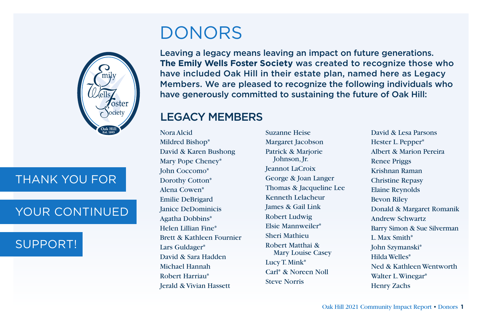

# THANK YOU FOR

# YOUR CONTINUED

# SUPPORT!

# DONORS

Leaving a legacy means leaving an impact on future generations. **The Emily Wells Foster Society** was created to recognize those who have included Oak Hill in their estate plan, named here as Legacy Members. We are pleased to recognize the following individuals who have generously committed to sustaining the future of Oak Hill:

## LEGACY MEMBERS

Nora Alcid Mildred Bishop\* David & Karen Bushong Mary Pope Cheney\* John Coccomo\* Dorothy Cotton\* Alena Cowen\* Emilie DeBrigard Janice DeDominicis Agatha Dobbins\* Helen Lillian Fine\* Brett & Kathleen Fournier Lars Guldager\* David & Sara Hadden Michael Hannah Robert Harriau\* Jerald & Vivian Hassett

Suzanne Heise Margaret Jacobson Patrick & Marjorie Johnson, Jr. Jeannot LaCroix George & Joan Langer Thomas & Jacqueline Lee Kenneth Lelacheur James & Gail Link Robert Ludwig Elsie Mannweiler\* Sheri Mathieu Robert Matthai & Mary Louise Casey Lucy T. Mink\* Carl\* & Noreen Noll Steve Norris

David & Lesa Parsons Hester L. Pepper\* Albert & Marion Pereira Renee Priggs Krishnan Raman Christine Repasy Elaine Reynolds Bevon Riley Donald & Margaret Romanik Andrew Schwartz Barry Simon & Sue Silverman L. Max Smith\* John Szymanski\* Hilda Welles\* Ned & Kathleen Wentworth Walter L. Winegar\* Henry Zachs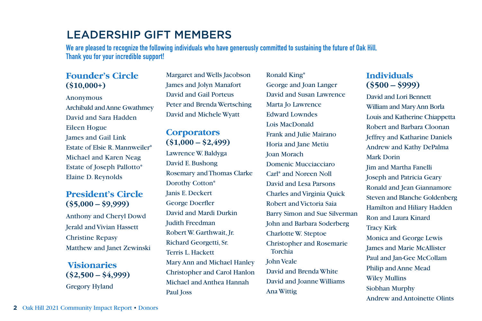## LEADERSHIP GIFT MEMBERS

**We are pleased to recognize the following individuals who have generously committed to sustaining the future of Oak Hill. Thank you for your incredible support!**

#### **Founder's Circle (\$10,000+)**

Anonymous Archibald and Anne Gwathmey David and Sara Hadden Eileen Hogue James and Gail Link Estate of Elsie R. Mannweiler\* Michael and Karen Neag Estate of Joseph Pallotto\* Elaine D. Reynolds

#### **President's Circle (\$5,000 – \$9,999)**

Anthony and Cheryl Dowd Jerald and Vivian Hassett Christine Repasy Matthew and Janet Zewinski

**Visionaries (\$2,500 – \$4,999)** Gregory Hyland

Margaret and Wells Jacobson James and Jolyn Manafort David and Gail Porteus Peter and Brenda Wertsching David and Michele Wyatt

#### **Corporators (\$1,000 – \$2,499)**

Lawrence W. Baldyga David E. Bushong Rosemary and Thomas Clarke Dorothy Cotton\* Janis E. Deckert George Doerfler David and Mardi Durkin Judith Freedman Robert W. Garthwait, Jr. Richard Georgetti, Sr. Terris L. Hackett Mary Ann and Michael Hanley Christopher and Carol Hanlon Michael and Anthea Hannah Paul Joss

Ronald King\* George and Joan Langer David and Susan Lawrence Marta Jo Lawrence Edward Lowndes Lois MacDonald Frank and Julie Mairano Horia and Jane Metiu Joan Morach Domenic Mucciacciaro Carl\* and Noreen Noll David and Lesa Parsons Charles and Virginia Quick Robert and Victoria Saia Barry Simon and Sue Silverman John and Barbara Soderberg Charlotte W. Steptoe Christopher and Rosemarie Torchia John Veale David and Brenda White David and Joanne Williams Ana Wittig

#### **Individuals (\$500 – \$999)**

David and Lori Bennett William and Mary Ann Borla Louis and Katherine Chiappetta Robert and Barbara Cloonan Jeffrey and Katharine Daniels Andrew and Kathy DePalma Mark Dorin Jim and Martha Fanelli Joseph and Patricia Geary Ronald and Jean Giannamore Steven and Blanche Goldenberg Hamilton and Hiliary Hadden Ron and Laura Kinard Tracy Kirk Monica and George Lewis James and Marie McAllister Paul and Jan-Gee McCollam Philip and Anne Mead Wiley Mullins Siobhan Murphy Andrew and Antoinette Olints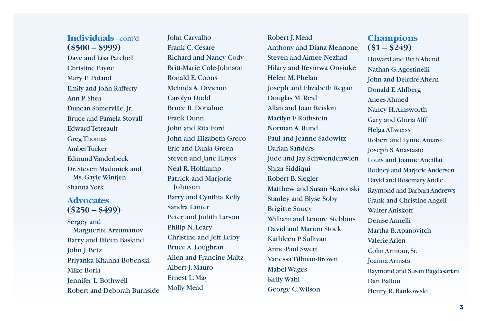#### **Individuals** – cont'd **(\$500 – \$999)**

Dave and Lisa Patchell Christine Payne Mary E. Poland Emily and John Rafferty Ann P. Shea Duncan Somerville, Jr. Bruce and Pamela Stovall Edward Tetreault Greg Thomas Amber Tucker Edmund Vanderbeck Dr. Steven Madonick and Ms. Gayle Wintjen Shanna York

#### **Advocates (\$250 – \$499)**

Sergey and Marguerite Arzumanov Barry and Eileen Baskind John J. Betz Priyanka Khanna Bobenski Mike Borla Jennifer L. Bothwell Robert and Deborah Burnside John Carvalho Frank C. Cesare Richard and Nancy Cody Britt-Marie Cole-Johnson Ronald E. Coons Melinda A. Divicino Carolyn Dodd Bruce R. Donahue Frank Dunn John and Rita Ford John and Elizabeth Greco Eric and Dania Green Steven and Jane Hayes Neal R. Holtkamp Patrick and Marjorie Johnson Barry and Cynthia Kelly Sandra Lanter Peter and Judith Larson Philip N. Leary Christine and Jeff Leiby Bruce A. Loughran Allen and Francine Maltz Albert J. Mauro Ernest L. May Molly Mead

Robert J. Mead Anthony and Diana Mennone Steven and Aimee Nezhad Hilary and Ifeyinwa Onyiuke Helen M. Phelan Joseph and Elizabeth Regan Douglas M. Reid Allan and Joan Reiskin Marilyn F. Rothstein Norman A. Rund Paul and Jeanne Sadowitz Darian Sanders Jude and Jay Schwendenwien Shiza Siddiqui Robert B. Siegler Matthew and Susan Skoronski Stanley and Blyse Soby Brigitte Soucy William and Lenore Stebbins David and Marion Stock Kathleen P. Sullivan Anne-Paul Swett Vanessa Tillman-Brown Mabel Wages Kelly Wahl George C. Wilson

### **Champions (\$1 – \$249)**

Howard and Beth Abend Nathan G. Agostinelli John and Deirdre Ahern Donald E. Ahlberg Anees Ahmed Nancy H. Ainsworth Gary and Gloria Alff Helga Allweiss Robert and Lynne Amaro Joseph S. Anastasio Louis and Joanne Ancillai Rodney and Marjorie Andersen David and Rosemary Andle Raymond and Barbara Andrews Frank and Christine Angell Walter Aniskoff Denise Annelli Martha B. Apanovitch Valerie Arlen Colin Armour, Sr. Joanna Arnista Raymond and Susan Bagdasarian Dan Ballou Henry R. Bankowski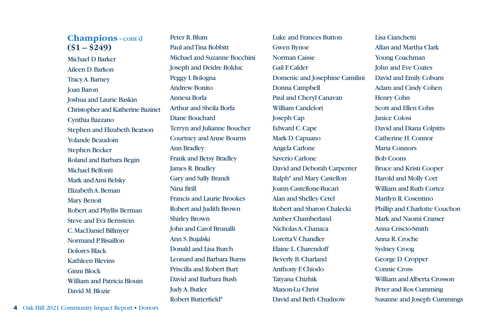Michael D Barker Aileen D. Barkon Tracy A. Barney Joan Baron Joshua and Laurie Baskin Christopher and Katherine Bazinet Cynthia Bazzano Stephen and Elizabeth Beatson Yolande Beaudoin Stephen Becker Roland and Barbara Begin Michael Belfonti Mark and Ami Belsky Elizabeth A. Beman Mary Benoit Robert and Phyllis Berman Steve and Eva Bernstein C. MacDaniel Billmyer Normand P. Bisaillon Dolores Black Kathleen Blevins Ginni Block William and Patricia Blouin David M. Blozie

Peter R. Blum Paul and Tina Bobbitt Michael and Suzanne Bocchini Joseph and Deidre Bolduc Peggy I. Bologna Andrew Bonito Annesa Borla Arthur and Sheila Borla Diane Bouchard Terryn and Julianne Boucher Courtney and Anne Bourns Ann Bradley Frank and Betsy Bradley James R. Bradley Gary and Sally Brandt Nina Brill Francis and Laurie Brookes Robert and Judith Brown Shirley Brown John and Carol Brunalli Ann S. Bujalski Donald and Lisa Burch Leonard and Barbara Burns Priscilla and Robert Burt David and Barbara Bush Judy A. Butler Robert Butterfield\*

Luke and Frances Button Gwen Bynoe Norman Caisse Gail F. Calder Domenic and Josephine Camilini Donna Campbell Paul and Cheryl Canavan William Candelori Joseph Cap Edward C. Cape Mark D. Capuano Angela Carlone Saverio Carlone David and Deborah Carpenter Ralph\* and Mary Castellon Joann Castellone-Bucari Alan and Shelley Cetel Robert and Sharon Chalecki Amber Chamberland Nicholas A. Chanaca Loretta V. Chandler Elaine L. Charendoff Beverly B. Charland Anthony F. Chiodo Tatyana Chizhik Manon-Lu Christ David and Beth Chudnow

Lisa Cianchetti Allan and Martha Clark Young Coachman John and Eve Coates David and Emily Coburn Adam and Cindy Cohen Henry Cohn Scott and Ellen Cohn Janice Colosi David and Diana Colpitts Catherine H. Connor Maria Connors Bob Coons Bruce and Kristi Cooper Harold and Molly Cort William and Ruth Cortez Marilyn R. Cosentino Phillip and Charlotte Couchon Mark and Naomi Cramer Anna Criscio-Smith Anna R. Croche Sydney Croog George D. Cropper Connie Cross William and Alberta Crosson Peter and Ros Cumming Susanne and Joseph Cummings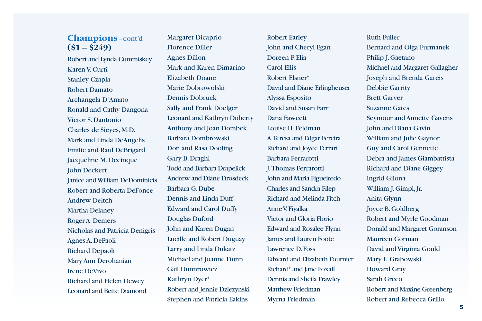Robert and Lynda Cummiskey Karen V. Curti Stanley Czapla Robert Damato Archangela D'Amato Ronald and Cathy Dangona Victor S. Dantonio Charles de Sieyes, M.D. Mark and Linda DeAngelis Emilie and Raul DeBrigard Jacqueline M. Decinque John Deckert Janice and William DeDominicis Robert and Roberta DeFonce Andrew Deitch Martha Delaney Roger A. Demers Nicholas and Patricia Denigris Agnes A. DePaoli Richard Depaoli Mary Ann Derohanian Irene DeVivo Richard and Helen Dewey Leonard and Bette Diamond

Margaret Dicaprio Florence Diller Agnes Dillon Mark and Karen Dimarino Elizabeth Doane Marie Dobrowolski Dennis Dobruck Sally and Frank Doelger Leonard and Kathryn Doherty Anthony and Joan Dombek Barbara Dombrowski Don and Rasa Dooling Gary B. Draghi Todd and Barbara Drapelick Andrew and Diane Drosdeck Barbara G. Dube Dennis and Linda Duff Edward and Carol Duffy Douglas Duford John and Karen Dugan Lucille and Robert Duguay Larry and Linda Dukatz Michael and Joanne Dunn Gail Dunnrowicz Kathryn Dyer\* Robert and Jennie Dziezynski Stephen and Patricia Eakins

Robert Earley John and Cheryl Egan Doreen P. Elia Carol Ellis Robert Elsner\* David and Diane Erlingheuser Alyssa Esposito David and Susan Farr Dana Fawcett Louise H. Feldman A. Teresa and Edgar Fereira Richard and Joyce Ferrari Barbara Ferrarotti J. Thomas Ferrarotti John and Maria Figueiredo Charles and Sandra Filep Richard and Melinda Fitch Anne V. Fiyalka Victor and Gloria Florio Edward and Rosalee Flynn James and Lauren Foote Lawrence D. Foss Edward and Elizabeth Fournier Richard\* and Jane Foxall Dennis and Sheila Frawley Matthew Friedman Myrna Friedman

Ruth Fuller Bernard and Olga Furmanek Philip J. Gaetano Michael and Margaret Gallagher Joseph and Brenda Gareis Debbie Garrity Brett Garver Suzanne Gates Seymour and Annette Gavens John and Diana Gavin William and Julie Gaynor Guy and Carol Gennette Debra and James Giambattista Richard and Diane Giggey Ingrid Gilona William J. Gimpl, Jr. Anita Glynn Joyce B. Goldberg Robert and Myrle Goodman Donald and Margaret Goranson Maureen Gorman David and Virginia Gould Mary L. Grabowski Howard Gray Sarah Greco Robert and Maxine Greenberg Robert and Rebecca Grillo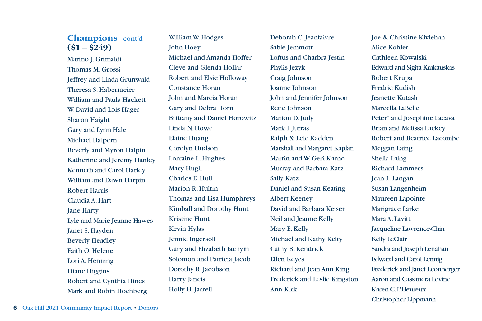Marino J. Grimaldi Thomas M. Grossi Jeffrey and Linda Grunwald Theresa S. Habermeier William and Paula Hackett W. David and Lois Hager Sharon Haight Gary and Lynn Hale Michael Halpern Beverly and Myron Halpin Katherine and Jeremy Hanley Kenneth and Carol Harley William and Dawn Harpin Robert Harris Claudia A. Hart Jane Harty Lyle and Marie Jeanne Hawes Janet S. Hayden Beverly Headley Faith O. Helene Lori A. Henning Diane Higgins Robert and Cynthia Hines Mark and Robin Hochberg

William W. Hodges John Hoey Michael and Amanda Hoffer Cleve and Glenda Hollar Robert and Elsie Holloway Constance Horan John and Marcia Horan Gary and Debra Horn Brittany and Daniel Horowitz Linda N. Howe Elaine Huang Corolyn Hudson Lorraine L. Hughes Mary Hugli Charles E. Hull Marion R. Hultin Thomas and Lisa Humphreys Kimball and Dorothy Hunt Kristine Hunt Kevin Hylas Jennie Ingersoll Gary and Elizabeth Jachym Solomon and Patricia Jacob Dorothy R. Jacobson Harry Jancis Holly H. Jarrell

Deborah C. Jeanfaivre Sable Jemmott Loftus and Charbra Jestin Phylis Jezyk Craig Johnson Joanne Johnson John and Jennifer Johnson Retie Johnson Marion D. Judy Mark I. Jurras Ralph & Lele Kadden Marshall and Margaret Kaplan Martin and W. Geri Karno Murray and Barbara Katz Sally Katz Daniel and Susan Keating Albert Keeney David and Barbara Keiser Neil and Jeanne Kelly Mary E. Kelly Michael and Kathy Kelty Cathy B. Kendrick Ellen Keyes Richard and Jean Ann King Frederick and Leslie Kingston Ann Kirk

Joe & Christine Kivlehan Alice Kohler Cathleen Kowalski Edward and Sigita Krakauskas Robert Krupa Fredric Kudish Jeanette Kutash Marcella LaBelle Peter\* and Josephine Lacava Brian and Melissa Lackey Robert and Beatrice Lacombe Meggan Laing Sheila Laing Richard Lammers Jean L. Langan Susan Langenheim Maureen Lapointe Marigrace Larke Mara A. Lavitt Jacqueline Lawrence-Chin Kelly LeClair Sandra and Joseph Lenahan Edward and Carol Lennig Frederick and Janet Leonberger Aaron and Cassandra Levine Karen C. L'Heureux Christopher Lippmann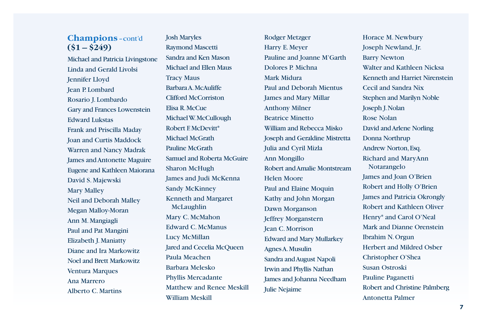Michael and Patricia Livingstone Linda and Gerald Livolsi Jennifer Lloyd Jean P. Lombard Rosario J. Lombardo Gary and Frances Lowenstein Edward Lukstas Frank and Priscilla Maday Joan and Curtis Maddock Warren and Nancy Madrak James and Antonette Maguire Eugene and Kathleen Maiorana David S. Majewski Mary Malley Neil and Deborah Malley Megan Malloy-Moran Ann M. Mangiagli Paul and Pat Mangini Elizabeth J. Maniatty Diane and Ira Markowitz Noel and Brett Markowitz Ventura Marques Ana Marrero Alberto C. Martins

Josh Maryles Raymond Mascetti Sandra and Ken Mason Michael and Ellen Maus Tracy Maus Barbara A. McAuliffe Clifford McCorriston Elisa R. McCue Michael W. McCullough Robert F. McDevitt\* Michael McGrath Pauline McGrath Samuel and Roberta McGuire Sharon McHugh James and Judi McKenna Sandy McKinney Kenneth and Margaret McLaughlin Mary C. McMahon Edward C. McManus Lucy McMillan Jared and Cecelia McQueen Paula Meachen Barbara Melesko Phyllis Mercadante Matthew and Renee Meskill William Meskill

Rodger Metzger Harry E. Meyer Pauline and Joanne M'Garth Dolores P. Michna Mark Midura Paul and Deborah Mientus James and Mary Millar Anthony Milner Beatrice Minetto William and Rebecca Misko Joseph and Geraldine Mistretta Julia and Cyril Mizla Ann Mongillo Robert and Amalie Montstream Helen Moore Paul and Elaine Moquin Kathy and John Morgan Dawn Morganson Jeffrey Morganstern Jean C. Morrison Edward and Mary Mullarkey Agnes A. Musulin Sandra and August Napoli Irwin and Phyllis Nathan James and Johanna Needham Julie Nejaime

Horace M. Newbury Joseph Newland, Jr. Barry Newton Walter and Kathleen Nicksa Kenneth and Harriet Nirenstein Cecil and Sandra Nix Stephen and Marilyn Noble Joseph J. Nolan Rose Nolan David and Arlene Norling Donna Northrup Andrew Norton, Esq. Richard and MaryAnn Notarangelo James and Joan O'Brien Robert and Holly O'Brien James and Patricia Okrongly Robert and Kathleen Oliver Henry\* and Carol O'Neal Mark and Dianne Orenstein Ibrahim N. Orgun Herbert and Mildred Osber Christopher O'Shea Susan Ostroski Pauline Paganetti Robert and Christine Palmberg Antonetta Palmer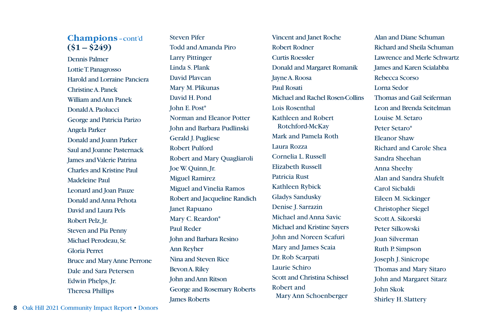Dennis Palmer Lottie T. Panagrosso Harold and Lorraine Panciera Christine A. Panek William and Ann Panek Donald A. Paolucci George and Patricia Parizo Angela Parker Donald and Joann Parker Saul and Joanne Pasternack James and Valerie Patrina Charles and Kristine Paul Madeleine Paul Leonard and Joan Pauze Donald and Anna Pehota David and Laura Pels Robert Pelz, Jr. Steven and Pia Penny Michael Perodeau, Sr. Gloria Perret Bruce and Mary Anne Perrone Dale and Sara Petersen Edwin Phelps, Jr. Theresa Phillips

Steven Pifer Todd and Amanda Piro Larry Pittinger Linda S. Plank David Plavcan Mary M. Plikunas David H. Pond John E. Post\* Norman and Eleanor Potter John and Barbara Pudlinski Gerald J. Pugliese Robert Pulford Robert and Mary Quagliaroli Joe W. Quinn, Jr. Miguel Ramirez Miguel and Vinelia Ramos Robert and Jacqueline Randich Janet Rapuano Mary C. Reardon\* Paul Reder John and Barbara Resino Ann Reyher Nina and Steven Rice Bevon A. Riley John and Ann Ritson George and Rosemary Roberts James Roberts

Vincent and Janet Roche Robert Rodner Curtis Roessler Donald and Margaret Romanik Jayne A. Roosa Paul Rosati Michael and Rachel Rosen-Collins Lois Rosenthal Kathleen and Robert Rotchford-McKay Mark and Pamela Roth Laura Rozza Cornelia L. Russell Elizabeth Russell Patricia Rust Kathleen Rybick Gladys Sandusky Denise J. Sarrazin Michael and Anna Savic Michael and Kristine Sayers John and Noreen Scafuri Mary and James Scaia Dr. Rob Scarpati Laurie Schiro Scott and Christina Schissel Robert and Mary Ann Schoenberger

Alan and Diane Schuman Richard and Sheila Schuman Lawrence and Merle Schwartz James and Karen Scialabba Rebecca Scorso Lorna Sedor Thomas and Gail Seiferman Leon and Brenda Seitelman Louise M. Setaro Peter Setaro\* Eleanor Shaw Richard and Carole Shea Sandra Sheehan Anna Sheehy Alan and Sandra Shufelt Carol Sicbaldi Eileen M. Sickinger Christopher Siegel Scott A. Sikorski Peter Silkowski Joan Silverman Ruth P. Simpson Joseph J. Sinicrope Thomas and Mary Sitaro John and Margaret Sitarz John Skok Shirley H. Slattery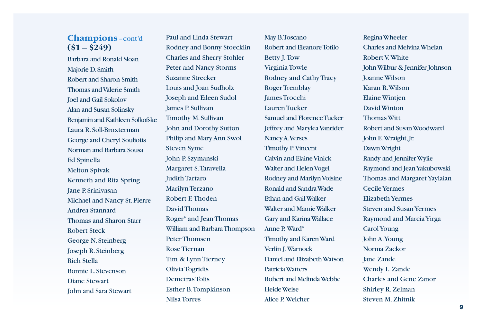Barbara and Ronald Sloan Majorie D. Smith Robert and Sharon Smith Thomas and Valerie Smith Joel and Gail Sokolov Alan and Susan Solinsky Benjamin and Kathleen Solkofske Laura R. Soll-Broxterman George and Cheryl Souliotis Norman and Barbara Sousa Ed Spinella Melton Spivak Kenneth and Rita Spring Jane P. Srinivasan Michael and Nancy St. Pierre Andrea Stannard Thomas and Sharon Starr Robert Steck George N. Steinberg Joseph R. Steinberg Rich Stella Bonnie L. Stevenson Diane Stewart John and Sara Stewart

Paul and Linda Stewart Rodney and Bonny Stoecklin Charles and Sherry Stohler Peter and Nancy Storms Suzanne Strecker Louis and Joan Sudholz Joseph and Eileen Sudol James P. Sullivan Timothy M. Sullivan John and Dorothy Sutton Philip and Mary Ann Swol Steven Syme John P. Szymanski Margaret S. Taravella Judith Tartaro Marilyn Terzano Robert F. Thoden David Thomas Roger\* and Jean Thomas William and Barbara Thompson Peter Thomsen Rose Tiernan Tim & Lynn Tierney Olivia Togridis Demetras Tolis Esther B. Tompkinson Nilsa Torres

May B. Toscano Robert and Eleanore Totilo Betty J. Tow Virginia Towle Rodney and Cathy Tracy Roger Tremblay James Trocchi Lauren Tucker Samuel and Florence Tucker Jeffrey and Marylea Vanrider Nancy A. Verses Timothy P. Vincent Calvin and Elaine Vinick Walter and Helen Vogel Rodney and Marilyn Voisine Ronald and Sandra Wade Ethan and Gail Walker Walter and Mamie Walker Gary and Karina Wallace Anne P. Ward\* Timothy and Karen Ward Verlin J. Warnock Daniel and Elizabeth Watson Patricia Watters Robert and Melinda Webbe Heide Weise Alice P. Welcher

Regina Wheeler Charles and Melvina Whelan Robert V. White John Wilbur & Jennifer Johnson Joanne Wilson Karan R. Wilson Elaine Wintjen David Winton Thomas Witt Robert and Susan Woodward John E. Wraight, Jr. Dawn Wright Randy and Jennifer Wylie Raymond and Jean Yakubowski Thomas and Margaret Yaylaian Cecile Yermes Elizabeth Yermes Steven and Susan Yermes Raymond and Marcia Yirga Carol Young John A. Young Norma Zackor Jane Zande Wendy L. Zande Charles and Gene Zanor Shirley R. Zelman Steven M. Zhitnik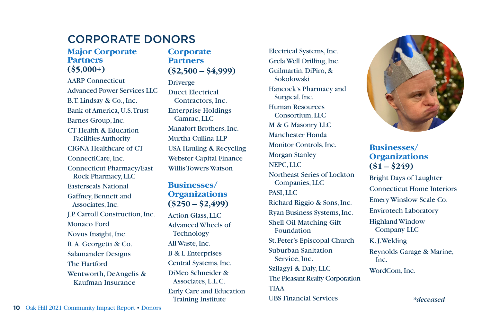## CORPORATE DONORS

#### **Major Corporate Partners (\$5,000+)**

AARP Connecticut Advanced Power Services LLC B.T. Lindsay & Co., Inc. Bank of America, U.S. Trust Barnes Group, Inc. CT Health & Education Facilities Authority CIGNA Healthcare of CT ConnectiCare, Inc. Connecticut Pharmacy/East Rock Pharmacy, LLC Easterseals National Gaffney, Bennett and Associates, Inc. J.P. Carroll Construction, Inc. Monaco Ford Novus Insight, Inc. R. A. Georgetti & Co. Salamander Designs The Hartford Wentworth, DeAngelis & Kaufman Insurance

#### **Corporate Partners (\$2,500 – \$4,999)**

Driverge Ducci Electrical Contractors, Inc. Enterprise Holdings Camrac, LLC Manafort Brothers, Inc. Murtha Cullina LLP USA Hauling & Recycling Webster Capital Finance Willis Towers Watson

#### **Businesses/ Organizations (\$250 – \$2,499)**

Action Glass, LLC Advanced Wheels of **Technology** All Waste, Inc. B & L Enterprises Central Systems, Inc. DiMeo Schneider & Associates, L.L.C. Early Care and Education Training Institute

Electrical Systems, Inc. Grela Well Drilling, Inc. Guilmartin, DiPiro, & Sokolowski Hancock's Pharmacy and Surgical, Inc. Human Resources Consortium, LLC M & G Masonry LLC Manchester Honda Monitor Controls, Inc. Morgan Stanley NEPC, LLC Northeast Series of Lockton Companies, LLC PASI, LLC Richard Riggio & Sons, Inc. Ryan Business Systems, Inc. Shell Oil Matching Gift Foundation St. Peter's Episcopal Church Suburban Sanitation Service, Inc. Szilagyi & Daly, LLC The Pleasant Realty Corporation TIAA UBS Financial Services



### **Businesses/ Organizations (\$1 – \$249)**

Bright Days of Laughter Connecticut Home Interiors Emery Winslow Scale Co. Envirotech Laboratory Highland Window Company LLC K. J. Welding

Reynolds Garage & Marine, Inc.

WordCom, Inc.

*\*deceased*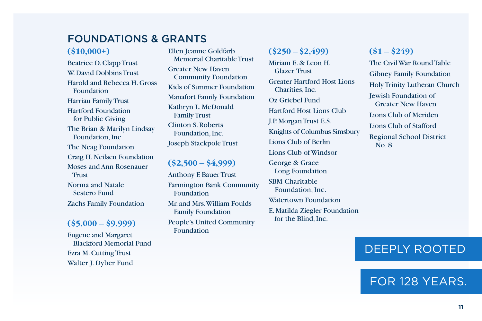### FOUNDATIONS & GRANTS

#### **(\$10,000+)**

Beatrice D. Clapp Trust W. David Dobbins Trust Harold and Rebecca H. Gross Foundation Harriau Family Trust Hartford Foundation for Public Giving The Brian & Marilyn Lindsay Foundation, Inc. The Neag Foundation Craig H. Neilsen Foundation Moses and Ann Rosenauer **Trust** Norma and Natale Sestero Fund Zachs Family Foundation

#### **(\$5,000 – \$9,999)**

Eugene and Margaret Blackford Memorial Fund Ezra M. Cutting Trust Walter J. Dyber Fund

Ellen Jeanne Goldfarb Memorial Charitable Trust Greater New Haven Community Foundation Kids of Summer Foundation Manafort Family Foundation Kathryn L. McDonald Family Trust Clinton S. Roberts Foundation, Inc. Joseph Stackpole Trust

#### **(\$2,500 – \$4,999)**

Anthony F. Bauer Trust Farmington Bank Community Foundation Mr. and Mrs. William Foulds Family Foundation

People's United Community Foundation

### **(\$250 – \$2,499)**

Miriam E. & Leon H. Glazer Trust Greater Hartford Host Lions Charities, Inc. Oz Griebel Fund Hartford Host Lions Club J.P. Morgan Trust E.S. Knights of Columbus Simsbury Lions Club of Berlin Lions Club of Windsor George & Grace Long Foundation SBM Charitable Foundation, Inc. Watertown Foundation

E. Matilda Ziegler Foundation for the Blind, Inc.

### **(\$1 – \$249)**

The Civil War Round Table Gibney Family Foundation Holy Trinity Lutheran Church Jewish Foundation of Greater New Haven Lions Club of Meriden Lions Club of Stafford Regional School District No. 8

# DEEPLY ROOTED

# FOR 128 YEARS.